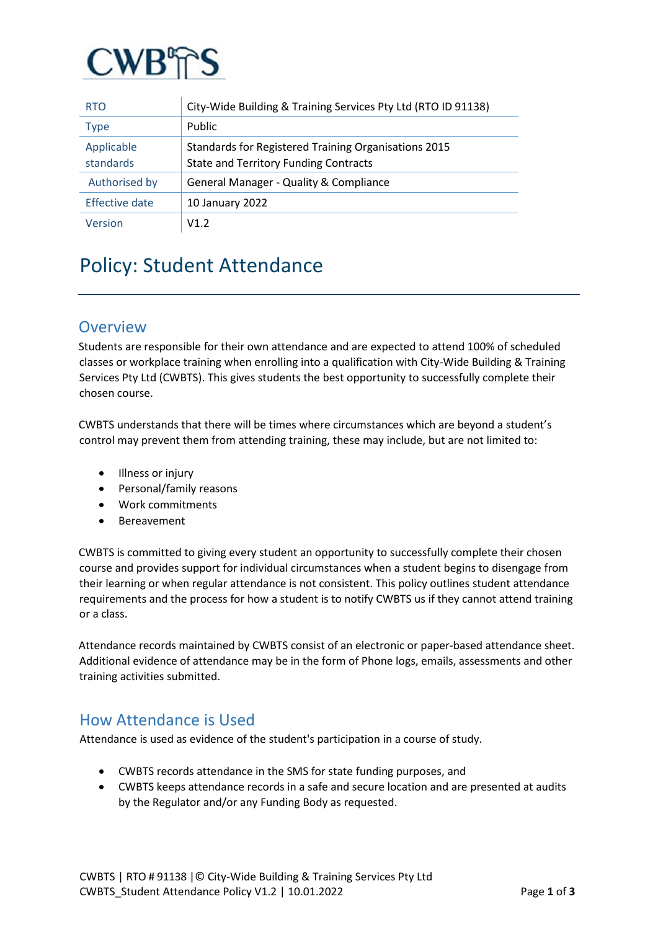

| <b>RTO</b>              | City-Wide Building & Training Services Pty Ltd (RTO ID 91138)                                        |
|-------------------------|------------------------------------------------------------------------------------------------------|
| <b>Type</b>             | Public                                                                                               |
| Applicable<br>standards | Standards for Registered Training Organisations 2015<br><b>State and Territory Funding Contracts</b> |
| Authorised by           | <b>General Manager - Quality &amp; Compliance</b>                                                    |
| <b>Effective date</b>   | 10 January 2022                                                                                      |
| Version                 | V1.2                                                                                                 |

# Policy: Student Attendance

### **Overview**

Students are responsible for their own attendance and are expected to attend 100% of scheduled classes or workplace training when enrolling into a qualification with City-Wide Building & Training Services Pty Ltd (CWBTS). This gives students the best opportunity to successfully complete their chosen course.

CWBTS understands that there will be times where circumstances which are beyond a student's control may prevent them from attending training, these may include, but are not limited to:

- Illness or injury
- Personal/family reasons
- Work commitments
- Bereavement

CWBTS is committed to giving every student an opportunity to successfully complete their chosen course and provides support for individual circumstances when a student begins to disengage from their learning or when regular attendance is not consistent. This policy outlines student attendance requirements and the process for how a student is to notify CWBTS us if they cannot attend training or a class.

Attendance records maintained by CWBTS consist of an electronic or paper-based attendance sheet. Additional evidence of attendance may be in the form of Phone logs, emails, assessments and other training activities submitted.

### How Attendance is Used

Attendance is used as evidence of the student's participation in a course of study.

- CWBTS records attendance in the SMS for state funding purposes, and
- CWBTS keeps attendance records in a safe and secure location and are presented at audits by the Regulator and/or any Funding Body as requested.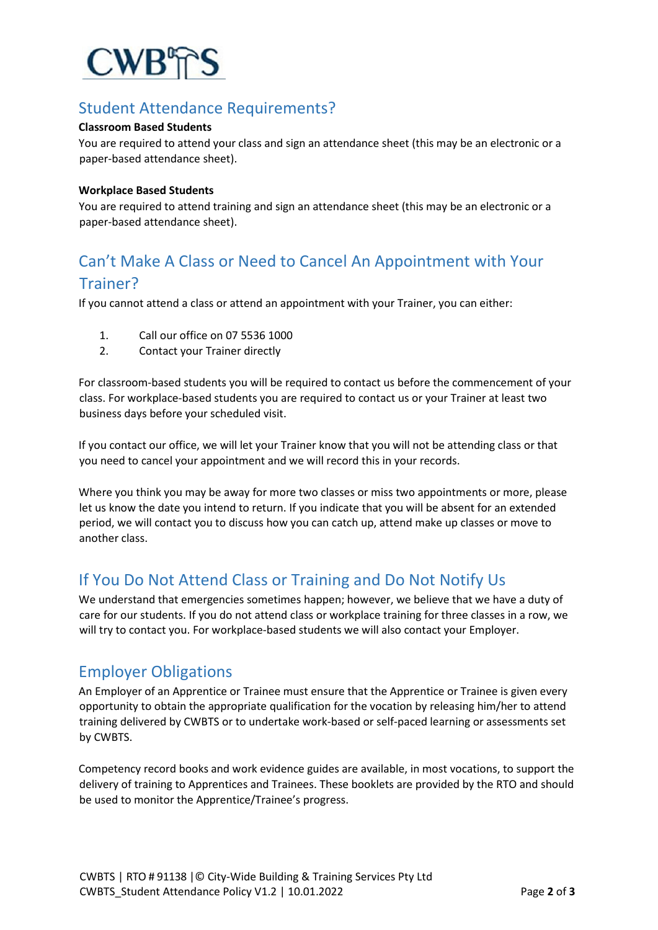

# Student Attendance Requirements?

#### **Classroom Based Students**

You are required to attend your class and sign an attendance sheet (this may be an electronic or a paper-based attendance sheet).

#### **Workplace Based Students**

You are required to attend training and sign an attendance sheet (this may be an electronic or a paper-based attendance sheet).

# Can't Make A Class or Need to Cancel An Appointment with Your Trainer?

If you cannot attend a class or attend an appointment with your Trainer, you can either:

- 1. Call our office on 07 5536 1000
- 2. Contact your Trainer directly

For classroom-based students you will be required to contact us before the commencement of your class. For workplace-based students you are required to contact us or your Trainer at least two business days before your scheduled visit.

If you contact our office, we will let your Trainer know that you will not be attending class or that you need to cancel your appointment and we will record this in your records.

Where you think you may be away for more two classes or miss two appointments or more, please let us know the date you intend to return. If you indicate that you will be absent for an extended period, we will contact you to discuss how you can catch up, attend make up classes or move to another class.

### If You Do Not Attend Class or Training and Do Not Notify Us

We understand that emergencies sometimes happen; however, we believe that we have a duty of care for our students. If you do not attend class or workplace training for three classes in a row, we will try to contact you. For workplace-based students we will also contact your Employer.

### Employer Obligations

An Employer of an Apprentice or Trainee must ensure that the Apprentice or Trainee is given every opportunity to obtain the appropriate qualification for the vocation by releasing him/her to attend training delivered by CWBTS or to undertake work-based or self-paced learning or assessments set by CWBTS.

Competency record books and work evidence guides are available, in most vocations, to support the delivery of training to Apprentices and Trainees. These booklets are provided by the RTO and should be used to monitor the Apprentice/Trainee's progress.